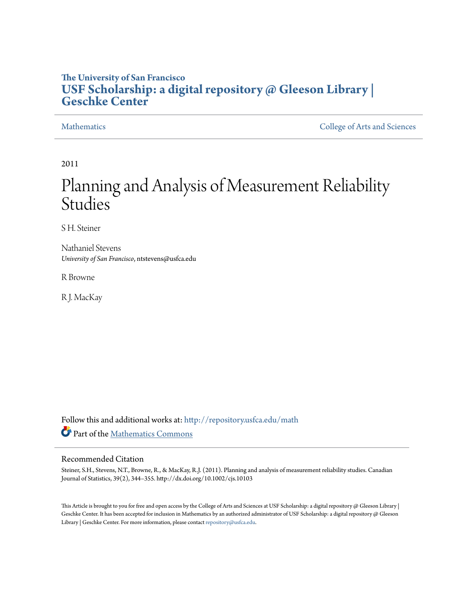# **The University of San Francisco [USF Scholarship: a digital repository @ Gleeson Library |](http://repository.usfca.edu?utm_source=repository.usfca.edu%2Fmath%2F27&utm_medium=PDF&utm_campaign=PDFCoverPages) [Geschke Center](http://repository.usfca.edu?utm_source=repository.usfca.edu%2Fmath%2F27&utm_medium=PDF&utm_campaign=PDFCoverPages)**

[Mathematics](http://repository.usfca.edu/math?utm_source=repository.usfca.edu%2Fmath%2F27&utm_medium=PDF&utm_campaign=PDFCoverPages) [College of Arts and Sciences](http://repository.usfca.edu/artsci?utm_source=repository.usfca.edu%2Fmath%2F27&utm_medium=PDF&utm_campaign=PDFCoverPages)

2011

# Planning and Analysis of Measurement Reliability Studies

S H. Steiner

Nathaniel Stevens *University of San Francisco*, ntstevens@usfca.edu

R Browne

R J. MacKay

Follow this and additional works at: [http://repository.usfca.edu/math](http://repository.usfca.edu/math?utm_source=repository.usfca.edu%2Fmath%2F27&utm_medium=PDF&utm_campaign=PDFCoverPages) Part of the [Mathematics Commons](http://network.bepress.com/hgg/discipline/174?utm_source=repository.usfca.edu%2Fmath%2F27&utm_medium=PDF&utm_campaign=PDFCoverPages)

#### Recommended Citation

Steiner, S.H., Stevens, N.T., Browne, R., & MacKay, R.J. (2011). Planning and analysis of measurement reliability studies. Canadian Journal of Statistics, 39(2), 344–355. http://dx.doi.org/10.1002/cjs.10103

This Article is brought to you for free and open access by the College of Arts and Sciences at USF Scholarship: a digital repository @ Gleeson Library | Geschke Center. It has been accepted for inclusion in Mathematics by an authorized administrator of USF Scholarship: a digital repository @ Gleeson Library | Geschke Center. For more information, please contact [repository@usfca.edu.](mailto:repository@usfca.edu)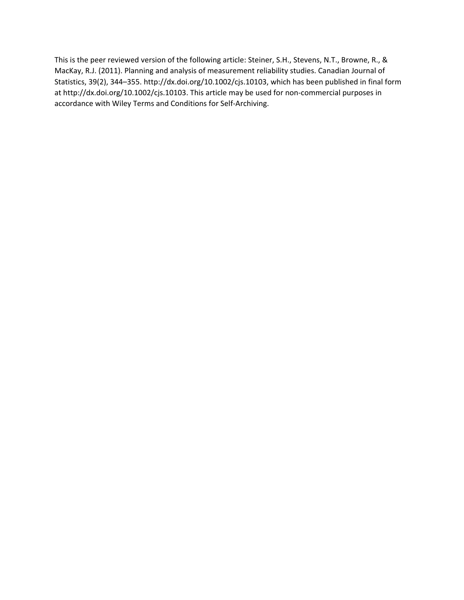This is the peer reviewed version of the following article: Steiner, S.H., Stevens, N.T., Browne, R., & MacKay, R.J. (2011). Planning and analysis of measurement reliability studies. Canadian Journal of Statistics, 39(2), 344–355. http://dx.doi.org/10.1002/cjs.10103, which has been published in final form at http://dx.doi.org/10.1002/cjs.10103. This article may be used for non-commercial purposes in accordance with Wiley Terms and Conditions for Self‐Archiving.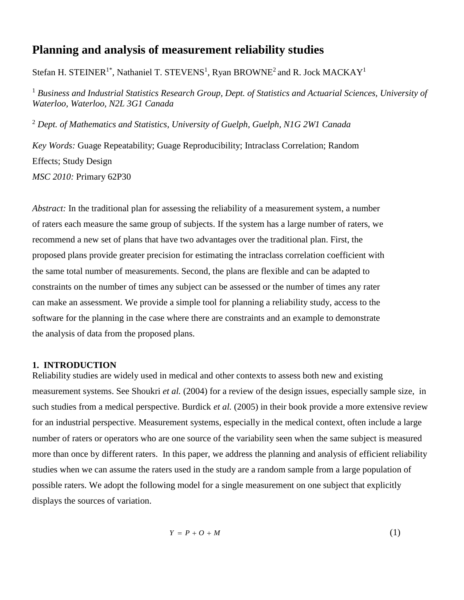## **Planning and analysis of measurement reliability studies**

Stefan H. STEINER<sup>1\*</sup>, Nathaniel T. STEVENS<sup>1</sup>, Ryan BROWNE<sup>2</sup> and R. Jock MACKAY<sup>1</sup>

<sup>1</sup> *Business and Industrial Statistics Research Group, Dept. of Statistics and Actuarial Sciences, University of Waterloo, Waterloo, N2L 3G1 Canada*

<sup>2</sup> *Dept. of Mathematics and Statistics, University of Guelph, Guelph, N1G 2W1 Canada*

*Key Words:* Guage Repeatability; Guage Reproducibility; Intraclass Correlation; Random Effects; Study Design *MSC 2010:* Primary 62P30

*Abstract:* In the traditional plan for assessing the reliability of a measurement system, a number of raters each measure the same group of subjects. If the system has a large number of raters, we recommend a new set of plans that have two advantages over the traditional plan. First, the proposed plans provide greater precision for estimating the intraclass correlation coefficient with the same total number of measurements. Second, the plans are flexible and can be adapted to constraints on the number of times any subject can be assessed or the number of times any rater can make an assessment. We provide a simple tool for planning a reliability study, access to the software for the planning in the case where there are constraints and an example to demonstrate the analysis of data from the proposed plans.

#### **1. INTRODUCTION**

Reliability studies are widely used in medical and other contexts to assess both new and existing measurement systems. See Shoukri *et al.* (2004) for a review of the design issues, especially sample size, in such studies from a medical perspective. Burdick *et al.* (2005) in their book provide a more extensive review for an industrial perspective. Measurement systems, especially in the medical context, often include a large number of raters or operators who are one source of the variability seen when the same subject is measured more than once by different raters. In this paper, we address the planning and analysis of efficient reliability studies when we can assume the raters used in the study are a random sample from a large population of possible raters. We adopt the following model for a single measurement on one subject that explicitly displays the sources of variation.

$$
Y = P + O + M \tag{1}
$$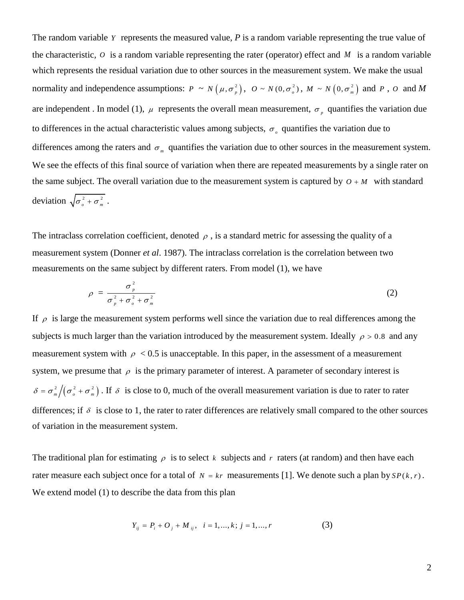The random variable  $Y$  represents the measured value,  $P$  is a random variable representing the true value of the characteristic,  $\hat{o}$  is a random variable representing the rater (operator) effect and  $M$  is a random variable which represents the residual variation due to other sources in the measurement system. We make the usual normality and independence assumptions:  $P \sim N(\mu, \sigma_p^2)$ ,  $Q \sim N(0, \sigma_o^2)$ ,  $M \sim N(0, \sigma_m^2)$  and P, O and M are independent. In model (1),  $\mu$  represents the overall mean measurement,  $\sigma_p$  quantifies the variation due to differences in the actual characteristic values among subjects,  $\sigma_{\rho}$  quantifies the variation due to differences among the raters and  $\sigma_m$  quantifies the variation due to other sources in the measurement system. We see the effects of this final source of variation when there are repeated measurements by a single rater on the same subject. The overall variation due to the measurement system is captured by  $O + M$  with standard deviation  $\sqrt{\sigma_o^2 + \sigma_m^2}$ .

The intraclass correlation coefficient, denoted  $\rho$ , is a standard metric for assessing the quality of a measurement system (Donner *et al*. 1987). The intraclass correlation is the correlation between two measurements on the same subject by different raters. From model (1), we have

$$
\rho = \frac{\sigma_p^2}{\sigma_p^2 + \sigma_o^2 + \sigma_m^2}
$$
 (2)

If  $\rho$  is large the measurement system performs well since the variation due to real differences among the subjects is much larger than the variation introduced by the measurement system. Ideally  $\rho > 0.8$  and any measurement system with  $\rho < 0.5$  is unacceptable. In this paper, in the assessment of a measurement system, we presume that  $\rho$  is the primary parameter of interest. A parameter of secondary interest is  $\frac{2}{m}\left(\sigma_o^2 + \sigma_m^2\right)$  $\delta = \sigma_m^2/(\sigma_o^2 + \sigma_m^2)$ . If  $\delta$  is close to 0, much of the overall measurement variation is due to rater to rater differences; if  $\delta$  is close to 1, the rater to rater differences are relatively small compared to the other sources of variation in the measurement system.

The traditional plan for estimating  $\rho$  is to select k subjects and r raters (at random) and then have each rater measure each subject once for a total of  $N = kr$  measurements [1]. We denote such a plan by  $SP(k, r)$ . We extend model (1) to describe the data from this plan

$$
Y_{ij} = P_i + O_j + M_{ij}, \quad i = 1, ..., k; \ j = 1, ..., r
$$
 (3)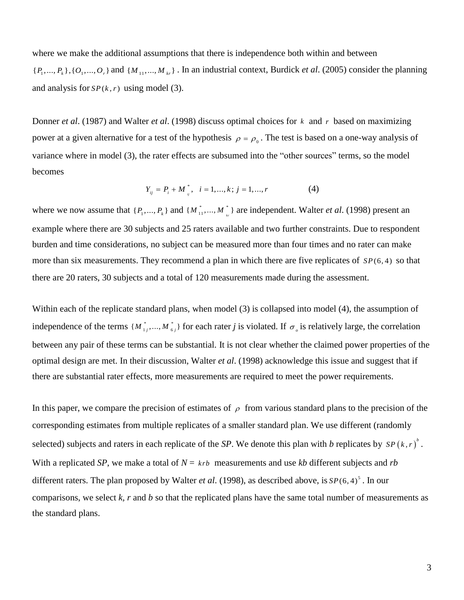where we make the additional assumptions that there is independence both within and between  $\{P_1, ..., P_k\}, \{O_1, ..., O_r\}$  and  $\{M_{11}, ..., M_{kr}\}\$ . In an industrial context, Burdick *et al.* (2005) consider the planning and analysis for  $SP(k, r)$  using model (3).

Donner *et al*. (1987) and Walter *et al*. (1998) discuss optimal choices for *k* and *r* based on maximizing power at a given alternative for a test of the hypothesis  $\rho = \rho_0$ . The test is based on a one-way analysis of variance where in model (3), the rater effects are subsumed into the "other sources" terms, so the model becomes

$$
Y_{ij} = P_i + M_{ij}^*, \quad i = 1, ..., k; \ j = 1, ..., r
$$
 (4)

where we now assume that  $\{P_1, ..., P_k\}$  and  $\{M_{11}^*, ..., M_{k}^*\}$  are independent. Walter *et al.* (1998) present an example where there are 30 subjects and 25 raters available and two further constraints. Due to respondent burden and time considerations, no subject can be measured more than four times and no rater can make more than six measurements. They recommend a plan in which there are five replicates of  $SP(6, 4)$  so that there are 20 raters, 30 subjects and a total of 120 measurements made during the assessment.

Within each of the replicate standard plans, when model (3) is collapsed into model (4), the assumption of independence of the terms  $\{M_{i_j},...,M_{i_j}\}\$  for each rater *j* is violated. If  $\sigma_i$  is relatively large, the correlation between any pair of these terms can be substantial. It is not clear whether the claimed power properties of the optimal design are met. In their discussion, Walter *et al*. (1998) acknowledge this issue and suggest that if there are substantial rater effects, more measurements are required to meet the power requirements.

In this paper, we compare the precision of estimates of  $\rho$  from various standard plans to the precision of the corresponding estimates from multiple replicates of a smaller standard plan. We use different (randomly selected) subjects and raters in each replicate of the *SP*. We denote this plan with *b* replicates by  $SP(k, r)^{b}$ . With a replicated *SP*, we make a total of  $N = krb$  measurements and use kb different subjects and *rb* different raters. The plan proposed by Walter *et al*. (1998), as described above, is 5 *SP*(6, 4) . In our comparisons, we select *k, r* and *b* so that the replicated plans have the same total number of measurements as the standard plans.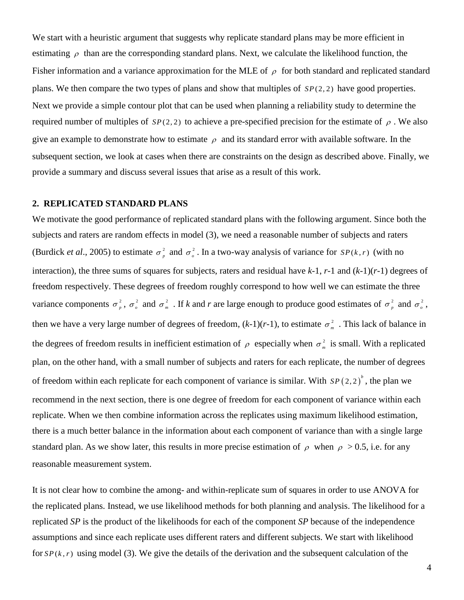We start with a heuristic argument that suggests why replicate standard plans may be more efficient in estimating  $\rho$  than are the corresponding standard plans. Next, we calculate the likelihood function, the Fisher information and a variance approximation for the MLE of  $\rho$  for both standard and replicated standard plans. We then compare the two types of plans and show that multiples of *SP*(2, 2) have good properties. Next we provide a simple contour plot that can be used when planning a reliability study to determine the required number of multiples of  $SP(2, 2)$  to achieve a pre-specified precision for the estimate of  $\rho$ . We also give an example to demonstrate how to estimate  $\rho$  and its standard error with available software. In the subsequent section, we look at cases when there are constraints on the design as described above. Finally, we provide a summary and discuss several issues that arise as a result of this work.

#### **2. REPLICATED STANDARD PLANS**

We motivate the good performance of replicated standard plans with the following argument. Since both the subjects and raters are random effects in model (3), we need a reasonable number of subjects and raters (Burdick *et al.*, 2005) to estimate  $\sigma_n^2$  $\sigma_p^2$  and  $\sigma_o^2$ . In a two-way analysis of variance for *SP(k,r)* (with no interaction), the three sums of squares for subjects, raters and residual have *k*-1, *r*-1 and (*k*-1)(*r*-1) degrees of freedom respectively. These degrees of freedom roughly correspond to how well we can estimate the three variance components  $\sigma_n^2$  $\sigma_p^2$ ,  $\sigma_o^2$  and  $\sigma_m^2$  $\sigma_m^2$ . If *k* and *r* are large enough to produce good estimates of  $\sigma_p^2$  $\sigma_p^2$  and  $\sigma_o^2$ , then we have a very large number of degrees of freedom,  $(k-1)(r-1)$ , to estimate  $\sigma_{m}^{2}$  $\sigma_m^2$ . This lack of balance in the degrees of freedom results in inefficient estimation of  $\rho$  especially when  $\sigma_{m}^{2}$  $\sigma_m^2$  is small. With a replicated plan, on the other hand, with a small number of subjects and raters for each replicate, the number of degrees of freedom within each replicate for each component of variance is similar. With  $SP(2,2)$ <sup>b</sup>, the plan we recommend in the next section, there is one degree of freedom for each component of variance within each replicate. When we then combine information across the replicates using maximum likelihood estimation, there is a much better balance in the information about each component of variance than with a single large standard plan. As we show later, this results in more precise estimation of  $\rho$  when  $\rho > 0.5$ , i.e. for any reasonable measurement system.

It is not clear how to combine the among- and within-replicate sum of squares in order to use ANOVA for the replicated plans. Instead, we use likelihood methods for both planning and analysis. The likelihood for a replicated *SP* is the product of the likelihoods for each of the component *SP* because of the independence assumptions and since each replicate uses different raters and different subjects. We start with likelihood for  $SP(k, r)$  using model (3). We give the details of the derivation and the subsequent calculation of the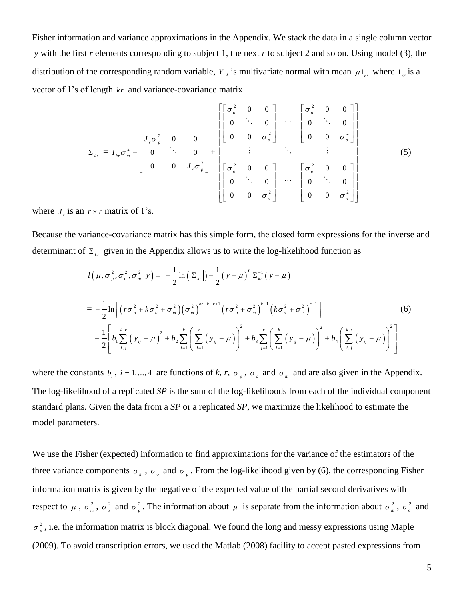Fisher information and variance approximations in the Appendix. We stack the data in a single column vector *y* with the first *r* elements corresponding to subject 1, the next *r* to subject 2 and so on. Using model (3), the distribution of the corresponding random variable, Y, is multivariate normal with mean  $\mu_1$ <sub>kr</sub>, where  $1_k$  is a vector of 1's of length *kr* and variance-covariance matrix

$$
\Sigma_{kr} = I_{kr}\sigma_m^2 + \begin{bmatrix} J_r\sigma_p^2 & 0 & 0 \\ 0 & \ddots & 0 \\ 0 & 0 & J_r\sigma_p^2 \end{bmatrix} + \begin{bmatrix} \sigma_o^2 & 0 & 0 \\ 0 & 0 & \sigma_o^2 \end{bmatrix} \cdots \begin{bmatrix} \sigma_o^2 & 0 & 0 \\ 0 & \ddots & 0 \\ 0 & 0 & \sigma_o^2 \end{bmatrix}
$$
\n
$$
\Sigma_{kr} = I_{kr}\sigma_m^2 + \begin{bmatrix} J_r\sigma_p^2 & 0 & 0 \\ 0 & 0 & J_r\sigma_p^2 \end{bmatrix} + \begin{bmatrix} \sigma_o^2 & 0 & 0 \\ 0 & \ddots & 0 \\ 0 & 0 & \sigma_o^2 \end{bmatrix} \cdots \begin{bmatrix} \sigma_o^2 & 0 & 0 \\ 0 & \ddots & 0 \\ 0 & 0 & \sigma_o^2 \end{bmatrix}
$$
\n(5)

where  $J_r$  is an  $r \times r$  matrix of 1's.

Because the variance-covariance matrix has this simple form, the closed form expressions for the inverse and determinant of  $\Sigma_{kr}$  given in the Appendix allows us to write the log-likelihood function as

$$
l(\mu, \sigma_p^2, \sigma_o^2, \sigma_m^2 | y) = -\frac{1}{2} \ln (|\Sigma_{kr}|) - \frac{1}{2} (y - \mu)^T \Sigma_{kr}^{-1} (y - \mu)
$$
  
=  $-\frac{1}{2} \ln \left[ \left( r \sigma_p^2 + k \sigma_o^2 + \sigma_m^2 \right) \left( \sigma_m^2 \right)^{kr - k - r + 1} \left( r \sigma_p^2 + \sigma_m^2 \right)^{k - 1} \left( k \sigma_o^2 + \sigma_m^2 \right)^{r - 1} \right]$  (6)  
 $-\frac{1}{2} \left[ b_1 \sum_{i,j}^{k,r} \left( y_{ij} - \mu \right)^2 + b_2 \sum_{i=1}^k \left( \sum_{j=1}^r \left( y_{ij} - \mu \right) \right)^2 + b_3 \sum_{j=1}^r \left( \sum_{i=1}^k \left( y_{ij} - \mu \right) \right)^2 + b_4 \left( \sum_{i,j}^{k,r} \left( y_{ij} - \mu \right) \right)^2 \right]$ 

where the constants  $b_i$ ,  $i = 1,..., 4$  are functions of  $k, r, \sigma_p$ ,  $\sigma_o$  and  $\sigma_m$  and are also given in the Appendix. The log-likelihood of a replicated *SP* is the sum of the log-likelihoods from each of the individual component standard plans. Given the data from a *SP* or a replicated *SP*, we maximize the likelihood to estimate the model parameters.

We use the Fisher (expected) information to find approximations for the variance of the estimators of the three variance components  $\sigma_m$ ,  $\sigma_o$  and  $\sigma_p$ . From the log-likelihood given by (6), the corresponding Fisher information matrix is given by the negative of the expected value of the partial second derivatives with respect to  $\mu$ ,  $\sigma_m^2$  $\sigma_{_m}^{^2}$  ,  $\sigma_{_o}^{^2}$  and  $\sigma_{_p}^{^2}$  $\sigma_p^2$ . The information about  $\mu$  is separate from the information about  $\sigma_m^2$  $\sigma_m^2$ ,  $\sigma_o^2$  and 2  $\sigma_p^2$ , i.e. the information matrix is block diagonal. We found the long and messy expressions using Maple (2009). To avoid transcription errors, we used the Matlab (2008) facility to accept pasted expressions from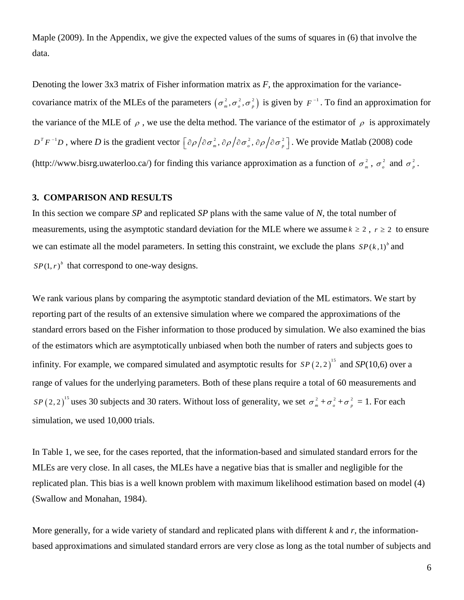Maple (2009). In the Appendix, we give the expected values of the sums of squares in (6) that involve the data.

Denoting the lower 3x3 matrix of Fisher information matrix as *F,* the approximation for the variancecovariance matrix of the MLEs of the parameters  $(\sigma_m^2, \sigma_o^2, \sigma_p^2)$  is given by  $F^{-1}$ . To find an approximation for the variance of the MLE of  $\rho$ , we use the delta method. The variance of the estimator of  $\rho$  is approximately  $D^T F^{-1}D$ , where *D* is the gradient vector  $\left[\frac{\partial \rho}{\partial \sigma_m^2}, \frac{\partial \rho}{\partial \sigma_o^2}, \frac{\partial \rho}{\partial \sigma_p^2}\right]$ . We provide Matlab (2008) code (http://www.bisrg.uwaterloo.ca/) for finding this variance approximation as a function of  $\sigma_{m}^{2}$  $\sigma_m^2$ ,  $\sigma_o^2$  and  $\sigma_p^2$  $\sigma_{_{p}}^{^{2}}$  .

#### **3. COMPARISON AND RESULTS**

In this section we compare *SP* and replicated *SP* plans with the same value of *N*, the total number of measurements, using the asymptotic standard deviation for the MLE where we assume  $k \geq 2$ ,  $r \geq 2$  to ensure we can estimate all the model parameters. In setting this constraint, we exclude the plans  $SP(k,1)^{b}$  and  $SP(1, r)^b$  that correspond to one-way designs.

We rank various plans by comparing the asymptotic standard deviation of the ML estimators. We start by reporting part of the results of an extensive simulation where we compared the approximations of the standard errors based on the Fisher information to those produced by simulation. We also examined the bias of the estimators which are asymptotically unbiased when both the number of raters and subjects goes to infinity. For example, we compared simulated and asymptotic results for  $SP(2,2)$ <sup>15</sup> and  $SP(10,6)$  over a range of values for the underlying parameters. Both of these plans require a total of 60 measurements and  $SP(2,2)^{15}$  uses 30 subjects and 30 raters. Without loss of generality, we set  $\sigma_m^2$  $\sigma_m^2 + \sigma_o^2 + \sigma_p^2$  $\sigma_p^2 = 1$ . For each simulation, we used 10,000 trials.

In Table 1, we see, for the cases reported, that the information-based and simulated standard errors for the MLEs are very close. In all cases, the MLEs have a negative bias that is smaller and negligible for the replicated plan. This bias is a well known problem with maximum likelihood estimation based on model (4) (Swallow and Monahan, 1984).

More generally, for a wide variety of standard and replicated plans with different *k* and *r,* the informationbased approximations and simulated standard errors are very close as long as the total number of subjects and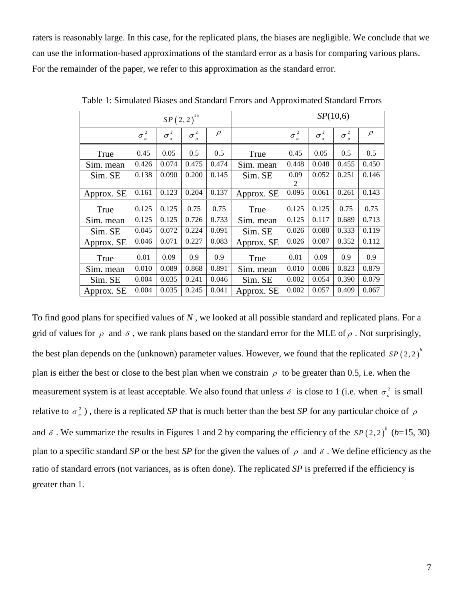raters is reasonably large. In this case, for the replicated plans, the biases are negligible. We conclude that we can use the information-based approximations of the standard error as a basis for comparing various plans. For the remainder of the paper, we refer to this approximation as the standard error.

|            |                                |                   | $SP(2,2)^{15}$ |        |            | SP(10,6)                                       |              |              |        |  |
|------------|--------------------------------|-------------------|----------------|--------|------------|------------------------------------------------|--------------|--------------|--------|--|
|            | $\overline{c}$<br>$\sigma_m^-$ | 2<br>$\sigma_{o}$ | $\sigma_p^2$   | $\rho$ |            | $\overline{2}$<br>$\sigma$<br>$\boldsymbol{m}$ | $\sigma_o^2$ | $\sigma_p^2$ | $\rho$ |  |
| True       | 0.45                           | 0.05              | 0.5            | 0.5    | True       | 0.45                                           | 0.05         | 0.5          | 0.5    |  |
| Sim. mean  | 0.426                          | 0.074             | 0.475          | 0.474  | Sim. mean  | 0.448                                          | 0.048        | 0.455        | 0.450  |  |
| Sim. SE    | 0.138                          | 0.090             | 0.200          | 0.145  | Sim. SE    | 0.09<br>2                                      | 0.052        | 0.251        | 0.146  |  |
| Approx. SE | 0.161                          | 0.123             | 0.204          | 0.137  | Approx. SE | 0.095                                          | 0.061        | 0.261        | 0.143  |  |
| True       | 0.125                          | 0.125             | 0.75           | 0.75   | True       | 0.125                                          | 0.125        | 0.75         | 0.75   |  |
| Sim. mean  | 0.125                          | 0.125             | 0.726          | 0.733  | Sim. mean  | 0.125                                          | 0.117        | 0.689        | 0.713  |  |
| Sim. SE    | 0.045                          | 0.072             | 0.224          | 0.091  | Sim. SE    | 0.026                                          | 0.080        | 0.333        | 0.119  |  |
| Approx. SE | 0.046                          | 0.071             | 0.227          | 0.083  | Approx. SE | 0.026                                          | 0.087        | 0.352        | 0.112  |  |
| True       | 0.01                           | 0.09              | 0.9            | 0.9    | True       | 0.01                                           | 0.09         | 0.9          | 0.9    |  |
| Sim. mean  | 0.010                          | 0.089             | 0.868          | 0.891  | Sim. mean  | 0.010                                          | 0.086        | 0.823        | 0.879  |  |
| Sim. SE    | 0.004                          | 0.035             | 0.241          | 0.046  | Sim. SE    | 0.002                                          | 0.054        | 0.390        | 0.079  |  |
| Approx. SE | 0.004                          | 0.035             | 0.245          | 0.041  | Approx. SE | 0.002                                          | 0.057        | 0.409        | 0.067  |  |

Table 1: Simulated Biases and Standard Errors and Approximated Standard Errors

To find good plans for specified values of *N* , we looked at all possible standard and replicated plans. For a grid of values for  $\rho$  and  $\delta$ , we rank plans based on the standard error for the MLE of  $\rho$ . Not surprisingly, the best plan depends on the (unknown) parameter values. However, we found that the replicated  $SP(2,2)^{b}$ plan is either the best or close to the best plan when we constrain  $\rho$  to be greater than 0.5, i.e. when the measurement system is at least acceptable. We also found that unless  $\delta$  is close to 1 (i.e. when  $\sigma_o^2$  is small relative to  $\sigma_m^2$  $\sigma_m^2$ ), there is a replicated *SP* that is much better than the best *SP* for any particular choice of  $\rho$ and  $\delta$ . We summarize the results in Figures 1 and 2 by comparing the efficiency of the  $SP(2, 2)^{b}$  (*b*=15, 30) plan to a specific standard *SP* or the best *SP* for the given the values of  $\rho$  and  $\delta$ . We define efficiency as the ratio of standard errors (not variances, as is often done). The replicated *SP* is preferred if the efficiency is greater than 1.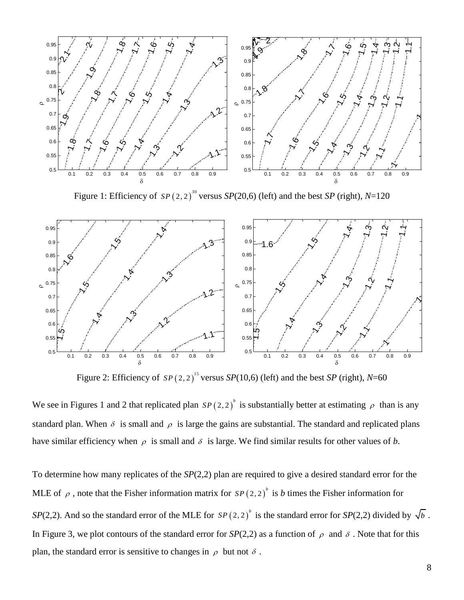

Figure 1: Efficiency of  $SP(2, 2)^{30}$  versus  $SP(20, 6)$  (left) and the best *SP* (right), *N*=120



Figure 2: Efficiency of  $SP(2,2)^{15}$  versus  $SP(10,6)$  (left) and the best *SP* (right), *N*=60

We see in Figures 1 and 2 that replicated plan  $SP(2,2)^{b}$  is substantially better at estimating  $\rho$  than is any standard plan. When  $\delta$  is small and  $\rho$  is large the gains are substantial. The standard and replicated plans have similar efficiency when  $\rho$  is small and  $\delta$  is large. We find similar results for other values of *b*.

To determine how many replicates of the *SP*(2,2) plan are required to give a desired standard error for the MLE of  $\rho$ , note that the Fisher information matrix for  $SP(2,2)^{^b}$  is *b* times the Fisher information for *SP*(2,2). And so the standard error of the MLE for  $SP(2,2)^{b}$  is the standard error for *SP*(2,2) divided by  $\sqrt{b}$ . In Figure 3, we plot contours of the standard error for  $SP(2,2)$  as a function of  $\rho$  and  $\delta$ . Note that for this plan, the standard error is sensitive to changes in  $\rho$  but not  $\delta$ .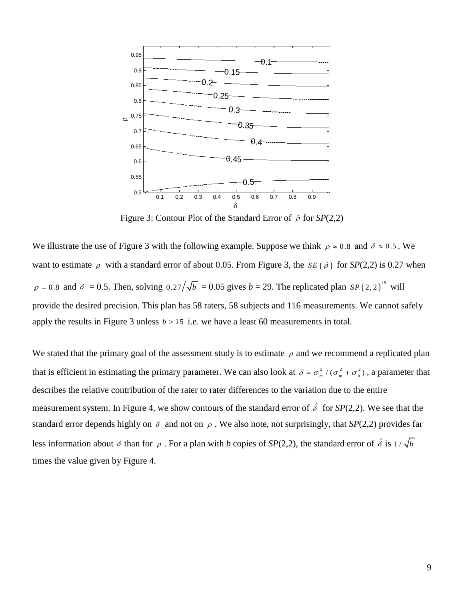

Figure 3: Contour Plot of the Standard Error of  $\hat{\rho}$  for  $SP(2,2)$ 

We illustrate the use of Figure 3 with the following example. Suppose we think  $\rho \approx 0.8$  and  $\delta \approx 0.5$ . We want to estimate  $\rho$  with a standard error of about 0.05. From Figure 3, the *SE* ( $\hat{\rho}$ ) for *SP*(2,2) is 0.27 when  $\rho = 0.8$  and  $\delta = 0.5$ . Then, solving  $0.27/\sqrt{b} = 0.05$  gives  $b = 29$ . The replicated plan  $SP(2,2)^{29}$  will provide the desired precision. This plan has 58 raters, 58 subjects and 116 measurements. We cannot safely apply the results in Figure 3 unless  $b > 15$  i.e. we have a least 60 measurements in total.

We stated that the primary goal of the assessment study is to estimate  $\rho$  and we recommend a replicated plan that is efficient in estimating the primary parameter. We can also look at  $\delta = \sigma_m^2 / (\sigma_m^2 + \sigma_o^2)$ , a parameter that describes the relative contribution of the rater to rater differences to the variation due to the entire measurement system. In Figure 4, we show contours of the standard error of  $\hat{\delta}$  for *SP*(2,2). We see that the standard error depends highly on  $\delta$  and not on  $\rho$ . We also note, not surprisingly, that *SP*(2,2) provides far less information about  $\delta$  than for  $\rho$ . For a plan with *b* copies of *SP*(2,2), the standard error of  $\hat{\delta}$  is  $1/\sqrt{b}$ times the value given by Figure 4.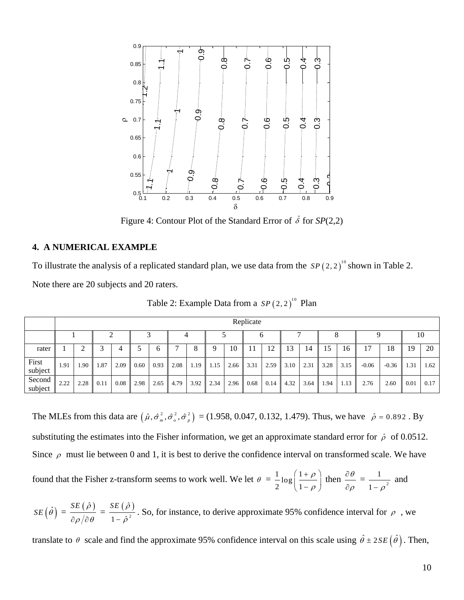

Figure 4: Contour Plot of the Standard Error of  $\hat{\delta}$  for  $SP(2,2)$ 

#### **4. A NUMERICAL EXAMPLE**

To illustrate the analysis of a replicated standard plan, we use data from the  $SP(2,2)^{10}$  shown in Table 2.

Note there are 20 subjects and 20 raters.

|                   | Replicate |      |      |      |      |      |      |      |      |      |      |      |                    |      |      |      |         |         |      |      |  |
|-------------------|-----------|------|------|------|------|------|------|------|------|------|------|------|--------------------|------|------|------|---------|---------|------|------|--|
|                   |           |      |      |      |      |      |      |      |      |      |      |      |                    |      |      |      |         |         |      | 10   |  |
| rater             |           | ∠    |      |      |      | b    |      | 8    | 9    | 10   | 11   | 12   | 13                 | 14   | 15   | 16   | 17      | 18      | 19   | 20   |  |
| First<br>subject  | 1.91      | 1.90 | 1.87 | 2.09 | 0.60 | 0.93 | 2.08 | 1.19 | 1.15 | 2.66 | 3.31 | 2.59 | $\vert 3.10 \vert$ | 2.31 | 3.28 | 3.15 | $-0.06$ | $-0.36$ | 1.31 | 1.62 |  |
| Second<br>subject | 2.22      | 2.28 | 0.11 | 0.08 | 2.98 | 2.65 | 4.79 | 3.92 | 2.34 | 2.96 | 0.68 | 0.14 | $\vert$ 4.32       | 3.64 | 1.94 | 1.13 | 2.76    | 2.60    | 0.01 | 0.17 |  |

Table 2: Example Data from a  $SP(2,2)^{10}$  Plan

The MLEs from this data are  $(\hat{\mu}, \hat{\sigma}_{m}^{2}, \hat{\sigma}_{\rho}^{2}, \hat{\sigma}_{p}^{2}) = (1.958, 0.047, 0.132, 1.479)$ . Thus, we have  $\hat{\rho} = 0.892$ . By substituting the estimates into the Fisher information, we get an approximate standard error for  $\hat{\rho}$  of 0.0512. Since  $\rho$  must lie between 0 and 1, it is best to derive the confidence interval on transformed scale. We have

found that the Fisher z-transform seems to work well. We let  $\theta = \frac{1}{2} \log \left( \frac{1}{2} \right)$ 2  $\left(1\right)$  $\rho$  $\rho$  $(1+\rho)$  $\left(\frac{1+\rho}{1-\rho}\right)$  then  $\frac{\partial \theta}{\partial \rho}$  $\rho$  $\partial$  $\partial$  $=\frac{1}{1-\frac{2}{x^2}}$ 1  $1-\rho$ and

 $SE(\hat{\theta}) = \frac{SE(\hat{\rho})}{2}$  $\partial \rho/\partial \theta$  $=\frac{SE(\hat{\rho})}{\hat{\rho}}$ 2  $\hat{c}$  $1-\hat{\rho}$ *SE*  $-\,\hat{\rho}$ . So, for instance, to derive approximate 95% confidence interval for  $\rho$ , we

translate to  $\theta$  scale and find the approximate 95% confidence interval on this scale using  $\hat{\theta} \pm 2SE(\hat{\theta})$ . Then,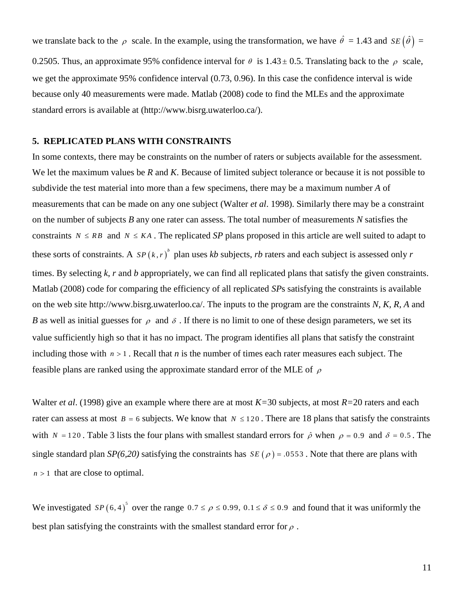we translate back to the  $\rho$  scale. In the example, using the transformation, we have  $\hat{\theta} = 1.43$  and  $SE(\hat{\theta}) =$ 0.2505. Thus, an approximate 95% confidence interval for  $\theta$  is 1.43 ± 0.5. Translating back to the  $\rho$  scale, we get the approximate 95% confidence interval (0.73, 0.96). In this case the confidence interval is wide because only 40 measurements were made. Matlab (2008) code to find the MLEs and the approximate standard errors is available at (http://www.bisrg.uwaterloo.ca/).

#### **5. REPLICATED PLANS WITH CONSTRAINTS**

In some contexts, there may be constraints on the number of raters or subjects available for the assessment. We let the maximum values be *R* and *K*. Because of limited subject tolerance or because it is not possible to subdivide the test material into more than a few specimens, there may be a maximum number *A* of measurements that can be made on any one subject (Walter *et al*. 1998). Similarly there may be a constraint on the number of subjects *B* any one rater can assess. The total number of measurements *N* satisfies the constraints  $N \leq RB$  and  $N \leq KA$ . The replicated *SP* plans proposed in this article are well suited to adapt to these sorts of constraints. A  $SP(k, r)^{b}$  plan uses *kb* subjects, *rb* raters and each subject is assessed only *r* times. By selecting *k*, *r* and *b* appropriately, we can find all replicated plans that satisfy the given constraints. Matlab (2008) code for comparing the efficiency of all replicated *SP*s satisfying the constraints is available on the web site http://www.bisrg.uwaterloo.ca/. The inputs to the program are the constraints *N, K, R, A* and *B* as well as initial guesses for  $\rho$  and  $\delta$ . If there is no limit to one of these design parameters, we set its value sufficiently high so that it has no impact. The program identifies all plans that satisfy the constraint including those with  $n > 1$ . Recall that *n* is the number of times each rater measures each subject. The feasible plans are ranked using the approximate standard error of the MLE of  $\rho$ 

Walter *et al*. (1998) give an example where there are at most *K=*30 subjects, at most *R=*20 raters and each rater can assess at most  $B = 6$  subjects. We know that  $N \le 120$ . There are 18 plans that satisfy the constraints with  $N = 120$ . Table 3 lists the four plans with smallest standard errors for  $\hat{\rho}$  when  $\rho = 0.9$  and  $\delta = 0.5$ . The single standard plan  $SP(6,20)$  satisfying the constraints has  $SE(\rho) = .0553$ . Note that there are plans with  $n > 1$  that are close to optimal.

We investigated  $SP(6, 4)^5$  over the range  $0.7 \le \rho \le 0.99$ ,  $0.1 \le \delta \le 0.9$  and found that it was uniformly the best plan satisfying the constraints with the smallest standard error for  $\rho$ .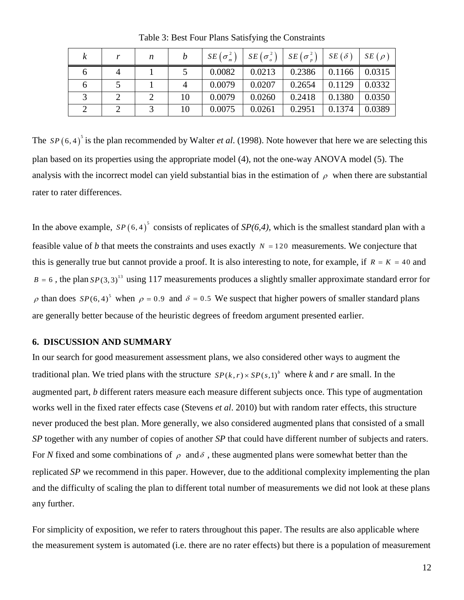|  | n |    |        |        | $SE(\sigma_m^2)$ $SE(\sigma_o^2)$ $SE(\sigma_p^2)$ $SE(\delta)$ $SE(\rho)$ |                         |                    |
|--|---|----|--------|--------|----------------------------------------------------------------------------|-------------------------|--------------------|
|  |   |    | 0.0082 | 0.0213 | 0.2386                                                                     | $\vert$ 0.1166   0.0315 |                    |
|  |   |    | 0.0079 | 0.0207 | 0.2654                                                                     | $\mid 0.1129$           | $\mid 0.0332 \mid$ |
|  |   | 10 | 0.0079 | 0.0260 | 0.2418                                                                     | 0.1380                  | 0.0350             |
|  |   | 10 | 0.0075 | 0.0261 | 0.2951                                                                     | 0.1374                  | 0.0389             |

Table 3: Best Four Plans Satisfying the Constraints

The  $SP(6, 4)^{5}$  is the plan recommended by Walter *et al.* (1998). Note however that here we are selecting this plan based on its properties using the appropriate model (4), not the one-way ANOVA model (5). The analysis with the incorrect model can yield substantial bias in the estimation of  $\rho$  when there are substantial rater to rater differences.

In the above example,  $SP(6, 4)$ <sup>5</sup> consists of replicates of  $SP(6, 4)$ , which is the smallest standard plan with a feasible value of *b* that meets the constraints and uses exactly  $N = 120$  measurements. We conjecture that this is generally true but cannot provide a proof. It is also interesting to note, for example, if  $R = K = 40$  and  $B = 6$ , the plan  $SP(3, 3)^{13}$  using 117 measurements produces a slightly smaller approximate standard error for  $\rho$  than does  $SP(6, 4)^5$  when  $\rho = 0.9$  and  $\delta = 0.5$  We suspect that higher powers of smaller standard plans are generally better because of the heuristic degrees of freedom argument presented earlier.

### **6. DISCUSSION AND SUMMARY**

In our search for good measurement assessment plans, we also considered other ways to augment the traditional plan. We tried plans with the structure  $SP(k, r) \times SP(s, 1)^b$  where *k* and *r* are small. In the augmented part, *b* different raters measure each measure different subjects once. This type of augmentation works well in the fixed rater effects case (Stevens *et al*. 2010) but with random rater effects, this structure never produced the best plan. More generally, we also considered augmented plans that consisted of a small *SP* together with any number of copies of another *SP* that could have different number of subjects and raters. For N fixed and some combinations of  $\rho$  and  $\delta$ , these augmented plans were somewhat better than the replicated *SP* we recommend in this paper. However, due to the additional complexity implementing the plan and the difficulty of scaling the plan to different total number of measurements we did not look at these plans any further.

For simplicity of exposition, we refer to raters throughout this paper. The results are also applicable where the measurement system is automated (i.e. there are no rater effects) but there is a population of measurement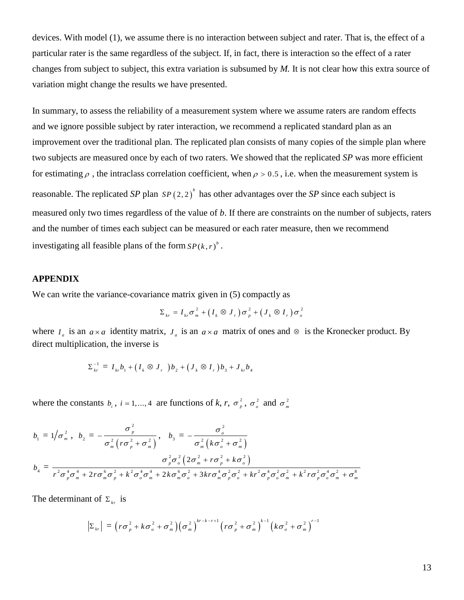devices. With model (1), we assume there is no interaction between subject and rater. That is, the effect of a particular rater is the same regardless of the subject. If, in fact, there is interaction so the effect of a rater changes from subject to subject, this extra variation is subsumed by *M.* It is not clear how this extra source of variation might change the results we have presented.

In summary, to assess the reliability of a measurement system where we assume raters are random effects and we ignore possible subject by rater interaction, we recommend a replicated standard plan as an improvement over the traditional plan. The replicated plan consists of many copies of the simple plan where two subjects are measured once by each of two raters. We showed that the replicated *SP* was more efficient for estimating  $\rho$ , the intraclass correlation coefficient, when  $\rho > 0.5$ , i.e. when the measurement system is reasonable. The replicated SP plan  $SP(2,2)^{b}$  has other advantages over the SP since each subject is measured only two times regardless of the value of *b*. If there are constraints on the number of subjects, raters and the number of times each subject can be measured or each rater measure, then we recommend investigating all feasible plans of the form  $SP(k, r)^b$ .

### **APPENDIX**

We can write the variance-covariance matrix given in  $(5)$  compactly as

$$
\Sigma_{kr} = I_{kr} \sigma_m^2 + (I_k \otimes J_r) \sigma_p^2 + (J_k \otimes I_r) \sigma_o^2
$$

where  $I_a$  is an  $a \times a$  identity matrix,  $J_a$  is an  $a \times a$  matrix of ones and  $\otimes$  is the Kronecker product. By direct multiplication, the inverse is

$$
\Sigma_{kr}^{-1} = I_{kr}b_1 + (I_k \otimes J_r)^2 + (J_k \otimes I_r)^2 + (J_{kr}b_3 + J_{kr}b_4)
$$

where the constants  $b_i$ ,  $i = 1, ..., 4$  are functions of  $k, r, \sigma_p^2$  $\sigma_p^2$ ,  $\sigma_o^2$  and  $\sigma_m^2$  $\sigma_{\binom{m}{m}}$ 

$$
b_1 = 1/\sigma_m^2, b_2 = -\frac{\sigma_p^2}{\sigma_m^2 (r\sigma_p^2 + \sigma_m^2)}, b_3 = -\frac{\sigma_o^2}{\sigma_m^2 (k\sigma_o^2 + \sigma_m^2)}
$$
  

$$
b_4 = \frac{\sigma_p^2 \sigma_o^2 (2\sigma_m^2 + r\sigma_p^2 + k\sigma_o^2)}{r^2 \sigma_p^4 \sigma_m^4 + 2r\sigma_m^6 \sigma_p^2 + k^2 \sigma_o^4 \sigma_m^4 + 2k\sigma_m^6 \sigma_o^2 + 3kr\sigma_m^4 \sigma_p^2 \sigma_o^2 + kr^2 \sigma_p^4 \sigma_o^2 \sigma_m^2 + k^2r\sigma_p^2 \sigma_o^4 \sigma_m^2 + \sigma_m^8}
$$

The determinant of  $\Sigma_{kr}$  is

$$
\left|\Sigma_{kr}\right| = \left(r\sigma_p^2 + k\sigma_o^2 + \sigma_m^2\right) \left(\sigma_m^2\right)^{kr-k-r+1} \left(r\sigma_p^2 + \sigma_m^2\right)^{k-1} \left(k\sigma_o^2 + \sigma_m^2\right)^{r-1}
$$